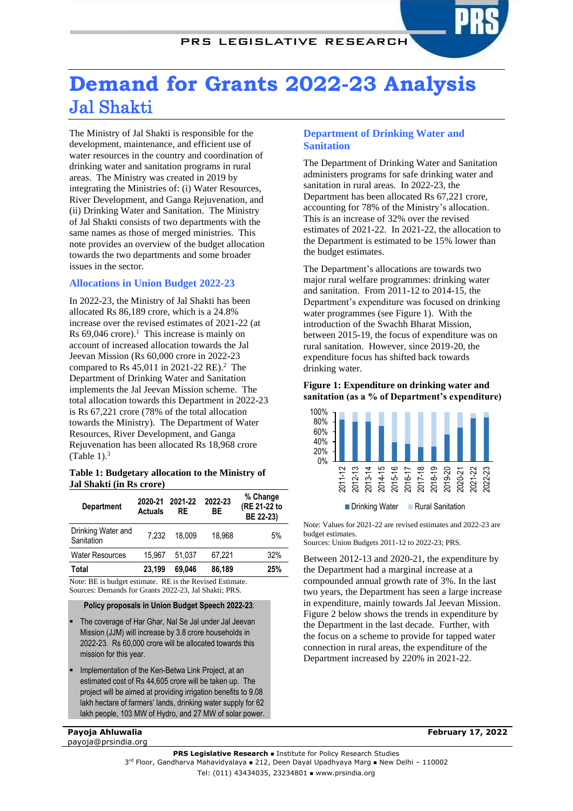## PRS LEGISLATIVE RESEARCH

# **Demand for Grants 2022-23 Analysis** Jal Shakti

The Ministry of Jal Shakti is responsible for the development, maintenance, and efficient use of water resources in the country and coordination of drinking water and sanitation programs in rural areas. The Ministry was created in 2019 by integrating the Ministries of: (i) Water Resources, River Development, and Ganga Rejuvenation, and (ii) Drinking Water and Sanitation. The Ministry of Jal Shakti consists of two departments with the same names as those of merged ministries. This note provides an overview of the budget allocation towards the two departments and some broader issues in the sector.

## **Allocations in Union Budget 2022-23**

In 2022-23, the Ministry of Jal Shakti has been allocated Rs 86,189 crore, which is a 24.8% increase over the revised estimates of 2021-22 (at Rs  $69,046$  crore).<sup>1</sup> This increase is mainly on account of increased allocation towards the Jal Jeevan Mission (Rs 60,000 crore in 2022-23 compared to Rs 45,011 in 2021-22 RE). <sup>2</sup> The Department of Drinking Water and Sanitation implements the Jal Jeevan Mission scheme. The total allocation towards this Department in 2022-23 is Rs 67,221 crore (78% of the total allocation towards the Ministry). The Department of Water Resources, River Development, and Ganga Rejuvenation has been allocated Rs 18,968 crore (Table 1). $3$ 

#### <span id="page-0-2"></span>**Table 1: Budgetary allocation to the Ministry of Jal Shakti (in Rs crore)**

| <b>Department</b>                | 2020-21<br><b>Actuals</b> | 2021-22<br>RE | 2022-23<br>ВE | % Change<br>(RE 21-22 to<br>BE 22-23) |
|----------------------------------|---------------------------|---------------|---------------|---------------------------------------|
| Drinking Water and<br>Sanitation | 7.232                     | 18.009        | 18.968        | 5%                                    |
| <b>Water Resources</b>           | 15.967                    | 51.037        | 67.221        | 32%                                   |
| <b>Total</b>                     | 23.199                    | 69.046        | 86,189        | 25%                                   |

Note: BE is budget estimate. RE is the Revised Estimate. Sources: Demands for Grants 2022-23, Jal Shakti; PRS.

#### **Policy proposals in Union Budget Speech 2022-23**:

- The coverage of Har Ghar, Nal Se Jal under Jal Jeevan Mission (JJM) will increase by 3.8 crore households in 2022-23. Rs 60,000 crore will be allocated towards this mission for this year.
- Implementation of the Ken-Betwa Link Project, at an estimated cost of Rs 44,605 crore will be taken up. The project will be aimed at providing irrigation benefits to 9.08 lakh hectare of farmers' lands, drinking water supply for 62 lakh people, 103 MW of Hydro, and 27 MW of solar power.

#### **Payoja Ahluwalia** payoja@prsindia.org

**Department of Drinking Water and Sanitation**

The Department of Drinking Water and Sanitation administers programs for safe drinking water and sanitation in rural areas. In 2022-23, the Department has been allocated Rs 67,221 crore, accounting for 78% of the Ministry's allocation. This is an increase of 32% over the revised estimates of 2021-22. In 2021-22, the allocation to the Department is estimated to be 15% lower than the budget estimates.

The Department's allocations are towards two major rural welfare programmes: drinking water and sanitation. From 2011-12 to 2014-15, the Department's expenditure was focused on drinking water programmes (see [Figure 1\)](#page-0-0). With the introduction of the Swachh Bharat Mission, between 2015-19, the focus of expenditure was on rural sanitation. However, since 2019-20, the expenditure focus has shifted back towards drinking water.

#### <span id="page-0-1"></span><span id="page-0-0"></span>**Figure 1: Expenditure on drinking water and sanitation (as a % of Department's expenditure)**



Drinking Water Rural Sanitation

Note: Values for 2021-22 are revised estimates and 2022-23 are budget estimates.

Sources: Union Budgets 2011-12 to 2022-23; PRS.

Between 2012-13 and 2020-21, the expenditure by the Department had a marginal increase at a compounded annual growth rate of 3%. In the last two years, the Department has seen a large increase in expenditure, mainly towards Jal Jeevan Mission. [Figure 2](#page-1-0) below shows the trends in expenditure by the Department in the last decade. Further, with the focus on a scheme to provide for tapped water connection in rural areas, the expenditure of the Department increased by 220% in 2021-22.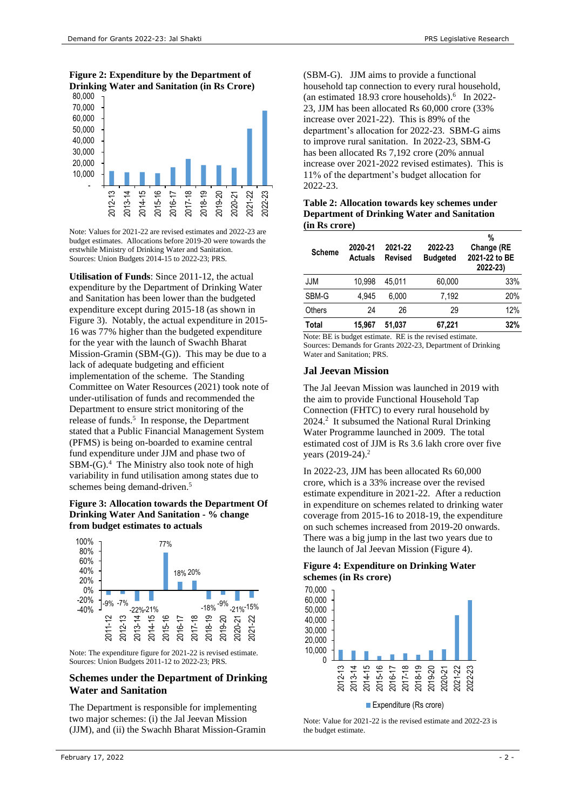<span id="page-1-0"></span>**Figure 2: Expenditure by the Department of Drinking Water and Sanitation (in Rs Crore)**



Note: Values for 2021-22 are revised estimates and 2022-23 are budget estimates. Allocations before 2019-20 were towards the erstwhile Ministry of Drinking Water and Sanitation. Sources: Union Budgets 2014-15 to 2022-23; PRS.

**Utilisation of Funds**: Since 2011-12, the actual expenditure by the Department of Drinking Water and Sanitation has been lower than the budgeted expenditure except during 2015-18 (as shown in [Figure 3\)](#page-1-1). Notably, the actual expenditure in 2015- 16 was 77% higher than the budgeted expenditure for the year with the launch of Swachh Bharat Mission-Gramin (SBM-(G)). This may be due to a lack of adequate budgeting and efficient implementation of the scheme. The Standing Committee on Water Resources (2021) took note of under-utilisation of funds and recommended the Department to ensure strict monitoring of the release of funds. 5 In response, the Department stated that a Public Financial Management System (PFMS) is being on-boarded to examine central fund expenditure under JJM and phase two of SBM-(G).<sup>4</sup> The Ministry also took note of high variability in fund utilisation among states due to schemes being demand-driven.<sup>5</sup>

#### <span id="page-1-1"></span>**Figure 3: Allocation towards the Department Of Drinking Water And Sanitation - % change from budget estimates to actuals**



Note: The expenditure figure for 2021-22 is revised estimate. Sources: Union Budgets 2011-12 to 2022-23; PRS.

## **Schemes under the Department of Drinking Water and Sanitation**

The Department is responsible for implementing two major schemes: (i) the Jal Jeevan Mission (JJM), and (ii) the Swachh Bharat Mission-Gramin

(SBM-G). JJM aims to provide a functional household tap connection to every rural household, (an estimated 18.93 crore households). 6 In 2022- 23, JJM has been allocated Rs 60,000 crore (33% increase over 2021-22). This is 89% of the department's allocation for 2022-23. SBM-G aims to improve rural sanitation. In 2022-23, SBM-G has been allocated Rs 7,192 crore (20% annual increase over 2021-2022 revised estimates). This is 11% of the department's budget allocation for 2022-23.

**Table 2: Allocation towards key schemes under Department of Drinking Water and Sanitation (in Rs crore)**

| <b>Scheme</b> | 2020-21<br><b>Actuals</b> | 2021-22<br><b>Revised</b> | 2022-23<br><b>Budgeted</b> | %<br>Change (RE<br>2021-22 to BE<br>2022-23) |
|---------------|---------------------------|---------------------------|----------------------------|----------------------------------------------|
| JJM           | 10.998                    | 45.011                    | 60,000                     | 33%                                          |
| SBM-G         | 4.945                     | 6.000                     | 7.192                      | 20%                                          |
| <b>Others</b> | 24                        | 26                        | 29                         | 12%                                          |
| Total         | 15.967                    | 51.037                    | 67,221                     | 32%                                          |

Note: BE is budget estimate. RE is the revised estimate. Sources: Demands for Grants 2022-23, Department of Drinking Water and Sanitation; PRS.

#### **Jal Jeevan Mission**

The Jal Jeevan Mission was launched in 2019 with the aim to provide Functional Household Tap Connection (FHTC) to every rural household by [2](#page-0-1)024.<sup>2</sup> It subsumed the National Rural Drinking Water Programme launched in 2009. The total estimated cost of JJM is Rs 3.6 lakh crore over five years (2019-24[\).](#page-0-1) 2

In 2022-23, JJM has been allocated Rs 60,000 crore, which is a 33% increase over the revised estimate expenditure in 2021-22. After a reduction in expenditure on schemes related to drinking water coverage from 2015-16 to 2018-19, the expenditure on such schemes increased from 2019-20 onwards. There was a big jump in the last two years due to the launch of Jal Jeevan Mission [\(Figure 4\)](#page-1-2).

<span id="page-1-2"></span>**Figure 4: Expenditure on Drinking Water schemes (in Rs crore)**



Note: Value for 2021-22 is the revised estimate and 2022-23 is the budget estimate.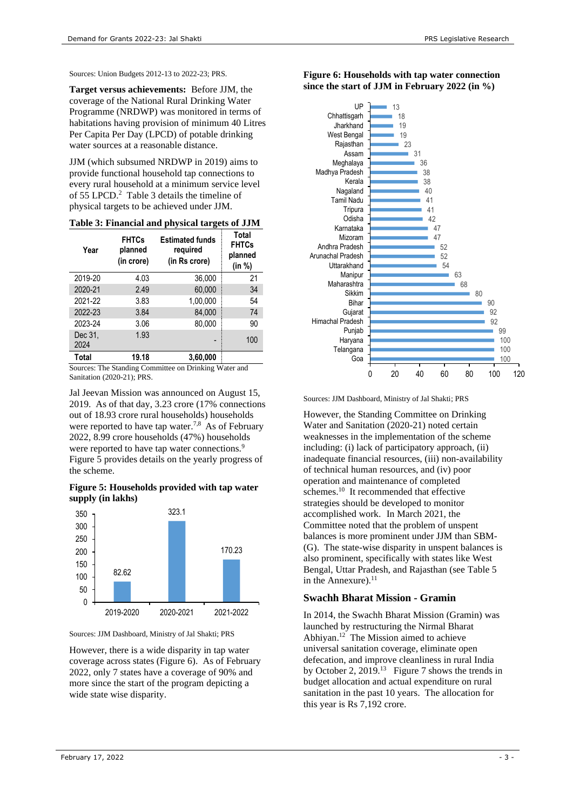Sources: Union Budgets 2012-13 to 2022-23; PRS.

**Target versus achievements:** Before JJM, the coverage of the National Rural Drinking Water Programme (NRDWP) was monitored in terms of habitations having provision of minimum 40 Litres Per Capita Per Day (LPCD) of potable drinking water sources at a reasonable distance.

JJM (which subsumed NRDWP in 2019) aims to provide functional household tap connections to every rural household at a minimum service level of 55 LPCD. [2](#page-0-1) [Table 3](#page-2-0) details the timeline of physical targets to be achieved under JJM.

| Year                                                 | <b>FHTCs</b><br>planned<br>(in crore) | <b>Estimated funds</b><br>required<br>(in Rs crore) | Total<br><b>FHTCs</b><br>planned<br>(in %) |  |  |
|------------------------------------------------------|---------------------------------------|-----------------------------------------------------|--------------------------------------------|--|--|
| 2019-20                                              | 4.03                                  | 36,000                                              | 21                                         |  |  |
| 2020-21                                              | 2.49                                  | 60.000                                              | 34                                         |  |  |
| 2021-22                                              | 3.83                                  | 1,00,000                                            | 54                                         |  |  |
| 2022-23                                              | 3.84                                  | 84,000                                              | 74                                         |  |  |
| 2023-24                                              | 3.06                                  | 80,000                                              | 90                                         |  |  |
| Dec 31,<br>2024                                      | 1.93                                  |                                                     | 100                                        |  |  |
| Total                                                | 19.18                                 | 3,60,000                                            |                                            |  |  |
| Courses The Ctending Committee on Drinking Water and |                                       |                                                     |                                            |  |  |

#### <span id="page-2-0"></span>**Table 3: Financial and physical targets of JJM**

Sources: The Standing Committee on Drinking Water and Sanitation (2020-21); PRS.

Jal Jeevan Mission was announced on August 15, 2019. As of that day, 3.23 crore (17% connections out of 18.93 crore rural households) households were reported to have tap water.<sup>7,8</sup> As of February 2022, 8.99 crore households (47%) households were reported to have tap water connections.<sup>9</sup> [Figure 5](#page-2-1) provides details on the yearly progress of the scheme.

<span id="page-2-1"></span>**Figure 5: Households provided with tap water supply (in lakhs)**



Sources: JJM Dashboard, Ministry of Jal Shakti; PRS

However, there is a wide disparity in tap water coverage across states [\(Figure 6\)](#page-2-2). As of February 2022, only 7 states have a coverage of 90% and more since the start of the program depicting a wide state wise disparity.



<span id="page-2-2"></span>**Figure 6: Households with tap water connection since the start of JJM in February 2022 (in %)**

Sources: JJM Dashboard, Ministry of Jal Shakti; PRS

However, the Standing Committee on Drinking Water and Sanitation (2020-21) noted certain weaknesses in the implementation of the scheme including: (i) lack of participatory approach, (ii) inadequate financial resources, (iii) non-availability of technical human resources, and (iv) poor operation and maintenance of completed schemes.<sup>10</sup> It recommended that effective strategies should be developed to monitor accomplished work. In March 2021, the Committee noted that the problem of unspent balances is more prominent under JJM than SBM- (G). The state-wise disparity in unspent balances is also prominent, specifically with states like West Bengal, Uttar Pradesh, and Rajasthan (see [Table 5](#page-9-0) in the Annexure).<sup>11</sup>

#### **Swachh Bharat Mission - Gramin**

In 2014, the Swachh Bharat Mission (Gramin) was launched by restructuring the Nirmal Bharat Abhiyan. 12 The Mission aimed to achieve universal sanitation coverage, eliminate open defecation, and improve cleanliness in rural India by October 2, 2019.<sup>13</sup> [Figure 7](#page-3-0) shows the trends in budget allocation and actual expenditure on rural sanitation in the past 10 years. The allocation for this year is Rs 7,192 crore.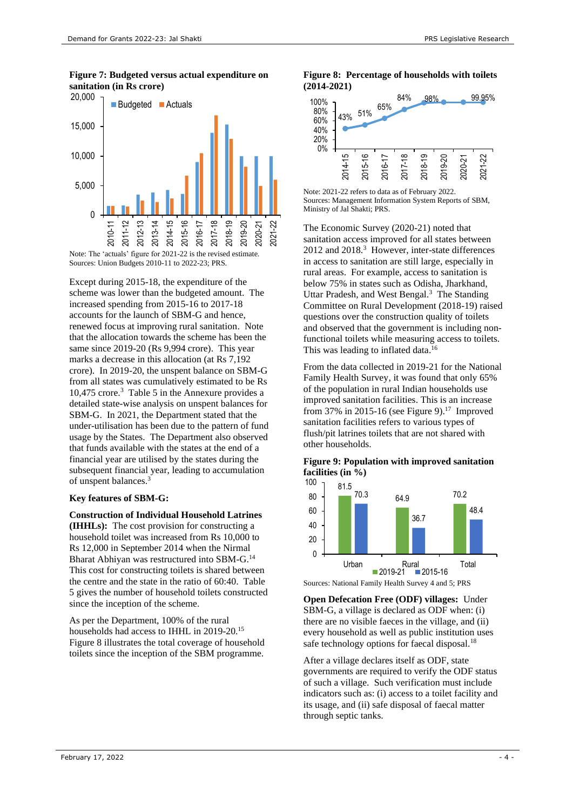<span id="page-3-0"></span>**Figure 7: Budgeted versus actual expenditure on sanitation (in Rs crore)**



Note: The 'actuals' figure for 2021-22 is the revised estimate. Sources: Union Budgets 2010-11 to 2022-23; PRS.

Except during 2015-18, the expenditure of the scheme was lower than the budgeted amount. The increased spending from 2015-16 to 2017-18 accounts for the launch of SBM-G and hence, renewed focus at improving rural sanitation. Note that the allocation towards the scheme has been the same since 2019-20 (Rs 9,994 crore). This year marks a decrease in this allocation (at Rs 7,192 crore). In 2019-20, the unspent balance on SBM-G from all states was cumulatively estimated to be Rs 10,475 crore.<sup>3</sup> [Table 5](#page-9-0) in the Annexure provides a detailed state-wise analysis on unspent balances for SBM-G. In 2021, the Department stated that the under-utilisation has been due to the pattern of fund usage by the States. The Department also observed that funds available with the states at the end of a financial year are utilised by the states during the subsequent financial year, leading to accumulation of unspent balances. 3

#### **Key features of SBM-G:**

#### **Construction of Individual Household Latrines**

**(IHHLs):** The cost provision for constructing a household toilet was increased from Rs 10,000 to Rs 12,000 in September 2014 when the Nirmal Bharat Abhiyan was restructured into SBM-G.<sup>14</sup> This cost for constructing toilets is shared between the centre and the state in the ratio of 60:40. Table 5 gives the number of household toilets constructed since the inception of the scheme.

As per the Department, 100% of the rural households had access to IHHL in 2019-20. 15 [Figure 8](#page-3-1) illustrates the total coverage of household toilets since the inception of the SBM programme.

#### <span id="page-3-1"></span>**Figure 8: Percentage of households with toilets (2014-2021)**



Note: 2021-22 refers to data as of February 2022. Sources: Management Information System Reports of SBM, Ministry of Jal Shakti; PRS.

The Economic Survey (2020-21) noted that sanitation access improved for all states between 2012 and 2018[.](#page-0-2)<sup>3</sup> However, inter-state differences in access to sanitation are still large, especially in rural areas. For example, access to sanitation is below 75% in states such as Odisha, Jharkhand, Uttar Pradesh, and West Bengal. $3$  The Standing Committee on Rural Development (2018-19) raised questions over the construction quality of toilets and observed that the government is including nonfunctional toilets while measuring access to toilets. This was leading to inflated data.<sup>16</sup>

From the data collected in 2019-21 for the National Family Health Survey, it was found that only 65% of the population in rural Indian households use improved sanitation facilities. This is an increase from 37% in 2015-16 (see [Figure 9\)](#page-3-2).<sup>17</sup> Improved sanitation facilities refers to various types of flush/pit latrines toilets that are not shared with other households.

#### <span id="page-3-2"></span>**Figure 9: Population with improved sanitation facilities (in %)**



Sources: National Family Health Survey 4 and 5; PRS

**Open Defecation Free (ODF) villages:** Under SBM-G, a village is declared as ODF when: (i) there are no visible faeces in the village, and (ii) every household as well as public institution uses safe technology options for faecal disposal.<sup>18</sup>

After a village declares itself as ODF, state governments are required to verify the ODF status of such a village. Such verification must include indicators such as: (i) access to a toilet facility and its usage, and (ii) safe disposal of faecal matter through septic tanks.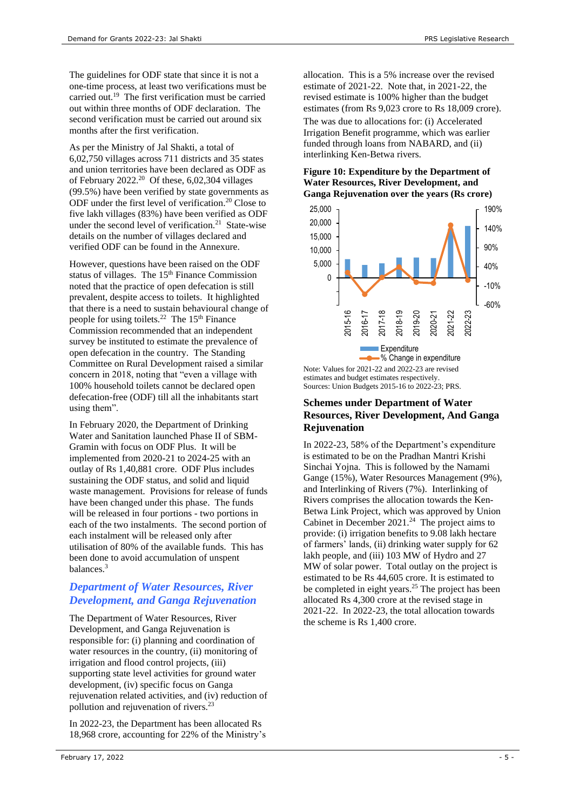The guidelines for ODF state that since it is not a one-time process, at least two verifications must be carried out.<sup>19</sup> The first verification must be carried out within three months of ODF declaration. The second verification must be carried out around six months after the first verification.

As per the Ministry of Jal Shakti, a total of 6,02,750 villages across 711 districts and 35 states and union territories have been declared as ODF as of February 2022. [20](#page-4-0) Of these, 6,02,304 villages (99.5%) have been verified by state governments as ODF under the first level of verification.<sup>20</sup> Close to five lakh villages (83%) have been verified as ODF under the second level of verification.<sup>21</sup> State-wise details on the number of villages declared and verified ODF can be found in the Annexure.

However, questions have been raised on the ODF status of villages. The  $15<sup>th</sup>$  Finance Commission noted that the practice of open defecation is still prevalent, despite access to toilets. It highlighted that there is a need to sustain behavioural change of people for using toilets.<sup>22</sup> The 15<sup>th</sup> Finance Commission recommended that an independent survey be instituted to estimate the prevalence of open defecation in the country. The Standing Committee on Rural Development raised a similar concern in 2018, noting that "even a village with 100% household toilets cannot be declared open defecation-free (ODF) till all the inhabitants start using them".

In February 2020, the Department of Drinking Water and Sanitation launched Phase II of SBM-Gramin with focus on ODF Plus. It will be implemented from 2020-21 to 2024-25 with an outlay of Rs 1,40,881 crore. ODF Plus includes sustaining the ODF status, and solid and liquid waste management. Provisions for release of funds have been changed under this phase. The funds will be released in four portions - two portions in each of the two instalments. The second portion of each instalment will be released only after utilisation of 80% of the available funds. This has been done to avoid accumulation of unspent balances. 3

## *Department of Water Resources, River Development, and Ganga Rejuvenation*

The Department of Water Resources, River Development, and Ganga Rejuvenation is responsible for: (i) planning and coordination of water resources in the country, (ii) monitoring of irrigation and flood control projects, (iii) supporting state level activities for ground water development, (iv) specific focus on Ganga rejuvenation related activities, and (iv) reduction of pollution and rejuvenation of rivers. 23

In 2022-23, the Department has been allocated Rs 18,968 crore, accounting for 22% of the Ministry's allocation. This is a 5% increase over the revised estimate of 2021-22. Note that, in 2021-22, the revised estimate is 100% higher than the budget estimates (from Rs 9,023 crore to Rs 18,009 crore).

The was due to allocations for: (i) Accelerated Irrigation Benefit programme, which was earlier funded through loans from NABARD, and (ii) interlinking Ken-Betwa rivers.

#### **Figure 10: Expenditure by the Department of Water Resources, River Development, and Ganga Rejuvenation over the years (Rs crore)**

<span id="page-4-0"></span>

estimates and budget estimates respectively. Sources: Union Budgets 2015-16 to 2022-23; PRS.

## **Schemes under Department of Water Resources, River Development, And Ganga Rejuvenation**

In 2022-23, 58% of the Department's expenditure is estimated to be on the Pradhan Mantri Krishi Sinchai Yojna. This is followed by the Namami Gange (15%), Water Resources Management (9%), and Interlinking of Rivers (7%). Interlinking of Rivers comprises the allocation towards the Ken-Betwa Link Project, which was approved by Union Cabinet in December  $2021.^{24}$  The project aims to provide: (i) irrigation benefits to 9.08 lakh hectare of farmers' lands, (ii) drinking water supply for 62 lakh people, and (iii) 103 MW of Hydro and 27 MW of solar power. Total outlay on the project is estimated to be Rs 44,605 crore. It is estimated to be completed in eight years. <sup>25</sup> The project has been allocated Rs 4,300 crore at the revised stage in 2021-22. In 2022-23, the total allocation towards the scheme is Rs 1,400 crore.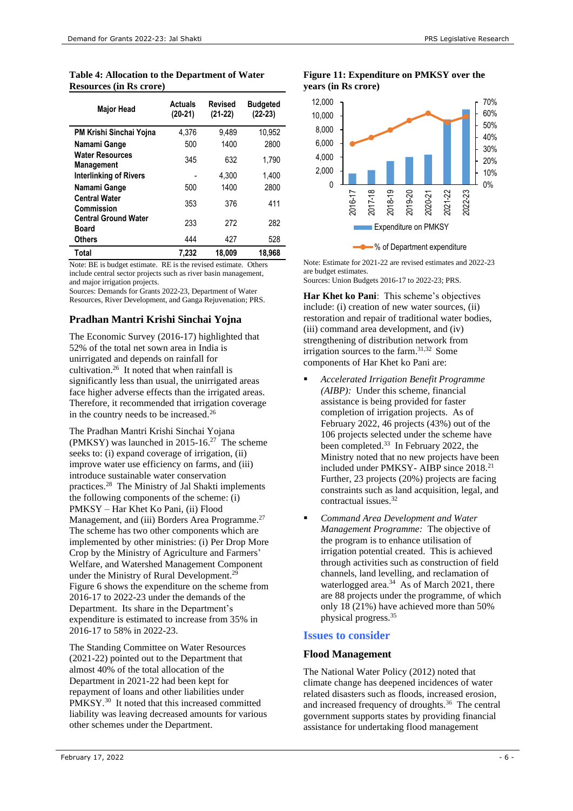| <b>Table 4: Allocation to the Department of Water</b> |
|-------------------------------------------------------|
| <b>Resources (in Rs crore)</b>                        |

| <b>Major Head</b>                           | <b>Actuals</b><br>$(20-21)$ | <b>Revised</b><br>$(21-22)$ | <b>Budgeted</b><br>$(22-23)$ |
|---------------------------------------------|-----------------------------|-----------------------------|------------------------------|
| PM Krishi Sinchai Yojna                     | 4,376                       | 9,489                       | 10,952                       |
| Namami Gange                                | 500                         | 1400                        | 2800                         |
| <b>Water Resources</b><br><b>Management</b> | 345                         | 632                         | 1.790                        |
| <b>Interlinking of Rivers</b>               |                             | 4.300                       | 1,400                        |
| Namami Gange                                | 500                         | 1400                        | 2800                         |
| <b>Central Water</b><br>Commission          | 353                         | 376                         | 411                          |
| <b>Central Ground Water</b><br><b>Board</b> | 233                         | 272                         | 282                          |
| <b>Others</b>                               | 444                         | 427                         | 528                          |
| Total                                       | 7.232                       | 18.009                      | 18.968                       |

Note: BE is budget estimate. RE is the revised estimate. Others include central sector projects such as river basin management, and major irrigation projects.

Sources: Demands for Grants 2022-23, Department of Water Resources, River Development, and Ganga Rejuvenation; PRS.

## **Pradhan Mantri Krishi Sinchai Yojna**

<span id="page-5-0"></span>The Economic Survey (2016-17) highlighted that 52% of the total net sown area in India is unirrigated and depends on rainfall for cultivation.<sup>26</sup> It noted that when rainfall is significantly less than usual, the unirrigated areas face higher adverse effects than the irrigated areas. Therefore, it recommended that irrigation coverage in the country needs to be increased.<sup>[26](#page-5-0)</sup>

The Pradhan Mantri Krishi Sinchai Yojana (PMKSY) was launched in 2015-16.<sup>27</sup> The scheme seeks to: (i) expand coverage of irrigation, (ii) improve water use efficiency on farms, and (iii) introduce sustainable water conservation practices. <sup>28</sup> The Ministry of Jal Shakti implements the following components of the scheme: (i) PMKSY – Har Khet Ko Pani, (ii) Flood Management, and (iii) Borders Area Programme.<sup>[27](#page-5-1)</sup> The scheme has two other components which are implemented by other ministries: (i) Per Drop More Crop by the Ministry of Agriculture and Farmers' Welfare, and Watershed Management Component under the Ministry of Rural Development.<sup>29</sup> Figure 6 shows the expenditure on the scheme from 2016-17 to 2022-23 under the demands of the Department. Its share in the Department's expenditure is estimated to increase from 35% in 2016-17 to 58% in 2022-23.

The Standing Committee on Water Resources (2021-22) pointed out to the Department that almost 40% of the total allocation of the Department in 2021-22 had been kept for repayment of loans and other liabilities under PMKSY.<sup>30</sup> It noted that this increased committed liability was leaving decreased amounts for various other schemes under the Department.

#### **Figure 11: Expenditure on PMKSY over the years (in Rs crore)**



Note: Estimate for 2021-22 are revised estimates and 2022-23 are budget estimates. Sources: Union Budgets 2016-17 to 2022-23; PRS.

**Har Khet ko Pani**: This scheme's objectives include: (i) creation of new water sources, (ii) restoration and repair of traditional water bodies, (iii) command area development, and (iv) strengthening of distribution network from irrigation sources to the farm.31,32 Some components of Har Khet ko Pani are:

- <span id="page-5-2"></span><span id="page-5-1"></span>▪ *Accelerated Irrigation Benefit Programme (AIBP):* Under this scheme, financial assistance is being provided for faster completion of irrigation projects. As of February 2022, 46 projects (43%) out of the 106 projects selected under the scheme have been completed.<sup>33</sup> In February 2022, the Ministry noted that no new projects have been included under PMKSY- AIBP since 2018.<sup>21</sup> Further, 23 projects (20%) projects are facing constraints such as land acquisition, legal, and contractual issues.[32](#page-5-2)
- *Command Area Development and Water Management Programme:* The objective of the program is to enhance utilisation of irrigation potential created. This is achieved through activities such as construction of field channels, land levelling, and reclamation of waterlogged area.<sup>34</sup> As of March 2021, there are 88 projects under the programme, of which only 18 (21%) have achieved more than 50% physical progress.<sup>35</sup>

## **Issues to consider**

#### **Flood Management**

The National Water Policy (2012) noted that climate change has deepened incidences of water related disasters such as floods, increased erosion, and increased frequency of droughts.<sup>36</sup> The central government supports states by providing financial assistance for undertaking flood management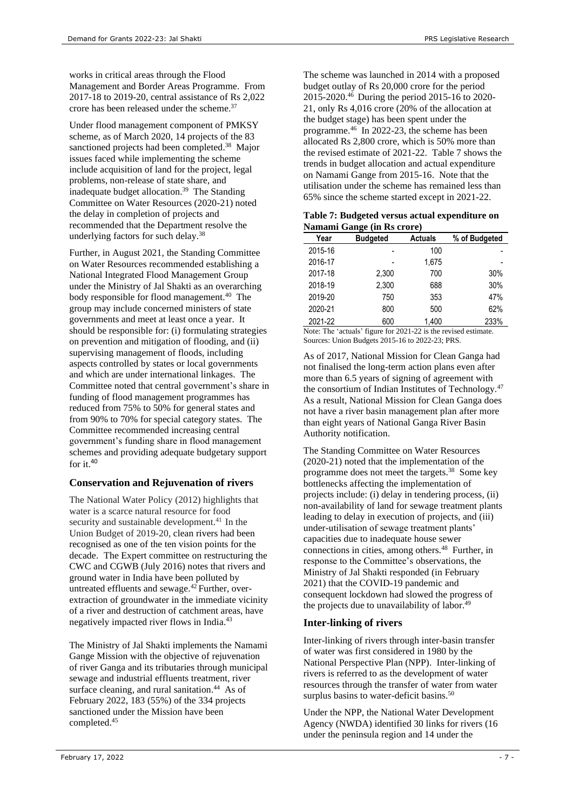works in critical areas through the Flood Management and Border Areas Programme. From 2017-18 to 2019-20, central assistance of Rs 2,022 crore has been released under the scheme.<sup>37</sup>

Under flood management component of PMKSY scheme, as of March 2020, 14 projects of the 83 sanctioned projects had been completed.<sup>38</sup> Major issues faced while implementing the scheme include acquisition of land for the project, legal problems, non-release of state share, and inadequate budget allocation. 39 The Standing Committee on Water Resources (2020-21) noted the delay in completion of projects and recommended that the Department resolve the underlying factors for such delay.[38](#page-6-0)

Further, in August 2021, the Standing Committee on Water Resources recommended establishing a National Integrated Flood Management Group under the Ministry of Jal Shakti as an overarching body responsible for flood management.<sup>40</sup> The group may include concerned ministers of state governments and meet at least once a year. It should be responsible for: (i) formulating strategies on prevention and mitigation of flooding, and (ii) supervising management of floods, including aspects controlled by states or local governments and which are under international linkages. The Committee noted that central government's share in funding of flood management programmes has reduced from 75% to 50% for general states and from 90% to 70% for special category states. The Committee recommended increasing central government's funding share in flood management schemes and providing adequate budgetary support for it.[40](#page-6-1)

## **Conservation and Rejuvenation of rivers**

The National Water Policy (2012) highlights that water is a scarce natural resource for food security and sustainable development.<sup>41</sup> In the Union Budget of 2019-20, clean rivers had been recognised as one of the ten vision points for the decade. The Expert committee on restructuring the CWC and CGWB (July 2016) notes that rivers and ground water in India have been polluted by untreated effluents and sewage. $42$  Further, overextraction of groundwater in the immediate vicinity of a river and destruction of catchment areas, have negatively impacted river flows in India.<sup>43</sup>

The Ministry of Jal Shakti implements the Namami Gange Mission with the objective of rejuvenation of river Ganga and its tributaries through municipal sewage and industrial effluents treatment, river surface cleaning, and rural sanitation.<sup>44</sup> As of February 2022, 183 (55%) of the 334 projects sanctioned under the Mission have been completed.<sup>45</sup>

<span id="page-6-2"></span>The scheme was launched in 2014 with a proposed budget outlay of Rs 20,000 crore for the period 2015-2020. <sup>46</sup> During the period 2015-16 to 2020- 21, only Rs 4,016 crore (20% of the allocation at the budget stage) has been spent under the programme.[46](#page-6-2) In 2022-23, the scheme has been allocated Rs 2,800 crore, which is 50% more than the revised estimate of 2021-22. Table 7 shows the trends in budget allocation and actual expenditure on Namami Gange from 2015-16. Note that the utilisation under the scheme has remained less than 65% since the scheme started except in 2021-22.

<span id="page-6-3"></span><span id="page-6-0"></span>

| Table 7: Budgeted versus actual expenditure on |  |
|------------------------------------------------|--|
| Namami Gange (in Rs crore)                     |  |

|         | -               | ,              |               |
|---------|-----------------|----------------|---------------|
| Year    | <b>Budgeted</b> | <b>Actuals</b> | % of Budgeted |
| 2015-16 |                 | 100            |               |
| 2016-17 |                 | 1,675          |               |
| 2017-18 | 2.300           | 700            | 30%           |
| 2018-19 | 2.300           | 688            | 30%           |
| 2019-20 | 750             | 353            | 47%           |
| 2020-21 | 800             | 500            | 62%           |
| 2021-22 | 600             | 1.400          | 233%          |

<span id="page-6-1"></span>Note: The 'actuals' figure for 2021-22 is the revised estimate. Sources: Union Budgets 2015-16 to 2022-23; PRS.

As of 2017, National Mission for Clean Ganga had not finalised the long-term action plans even after more than 6.5 years of signing of agreement with the consortium of Indian Institutes of Technology.<sup>47</sup> As a result, National Mission for Clean Ganga does not have a river basin management plan after more than eight years of National Ganga River Basin Authority notification.

The Standing Committee on Water Resources (2020-21) noted that the implementation of the programme does not meet the targets. [38](#page-6-0) Some key bottlenecks affecting the implementation of projects include: (i) delay in tendering process, (ii) non-availability of land for sewage treatment plants leading to delay in execution of projects, and (iii) under-utilisation of sewage treatment plants' capacities due to inadequate house sewer connections in cities, among others.<sup>48</sup> Further, in response to the Committee's observations, the Ministry of Jal Shakti responded (in February 2021) that the COVID-19 pandemic and consequent lockdown had slowed the progress of the projects due to unavailability of labor.<sup>49</sup>

## **Inter-linking of rivers**

Inter-linking of rivers through inter-basin transfer of water was first considered in 1980 by the National Perspective Plan (NPP). Inter-linking of rivers is referred to as the development of water resources through the transfer of water from water surplus basins to water-deficit basins.<sup>50</sup>

Under the NPP, the National Water Development Agency (NWDA) identified 30 links for rivers (16 under the peninsula region and 14 under the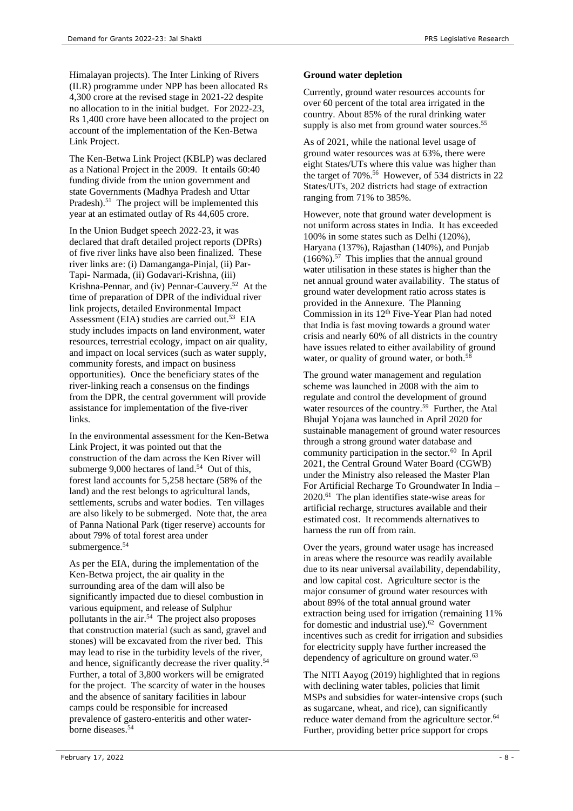Himalayan projects). The Inter Linking of Rivers (ILR) programme under NPP has been allocated Rs 4,300 crore at the revised stage in 2021-22 despite no allocation to in the initial budget. For 2022-23, Rs 1,400 crore have been allocated to the project on account of the implementation of the Ken-Betwa Link Project.

The Ken-Betwa Link Project (KBLP) was declared as a National Project in the 2009. It entails 60:40 funding divide from the union government and state Governments (Madhya Pradesh and Uttar Pradesh).<sup>51</sup> The project will be implemented this year at an estimated outlay of Rs 44,605 crore.

In the Union Budget speech 2022-23, it was declared that draft detailed project reports (DPRs) of five river links have also been finalized. These river links are: (i) Damanganga-Pinjal, (ii) Par-Tapi- Narmada, (ii) Godavari-Krishna, (iii) Krishna-Pennar, and (iv) Pennar-Cauvery. 52 At the time of preparation of DPR of the individual river link projects, detailed Environmental Impact Assessment (EIA) studies are carried out.<sup>53</sup> EIA study includes impacts on land environment, water resources, terrestrial ecology, impact on air quality, and impact on local services (such as water supply, community forests, and impact on business opportunities). Once the beneficiary states of the river-linking reach a consensus on the findings from the DPR, the central government will provide assistance for implementation of the five-river links.

<span id="page-7-0"></span>In the environmental assessment for the Ken-Betwa Link Project, it was pointed out that the construction of the dam across the Ken River will submerge 9,000 hectares of land.<sup>54</sup> Out of this, forest land accounts for 5,258 hectare (58% of the land) and the rest belongs to agricultural lands, settlements, scrubs and water bodies. Ten villages are also likely to be submerged. Note that, the area of Panna National Park (tiger reserve) accounts for about 79% of total forest area under submergence. [54](#page-7-0)

As per the EIA, during the implementation of the Ken-Betwa project, the air quality in the surrounding area of the dam will also be significantly impacted due to diesel combustion in various equipment, and release of Sulphur pollutants in the air. [54](#page-7-0) The project also proposes that construction material (such as sand, gravel and stones) will be excavated from the river bed. This may lead to rise in the turbidity levels of the river, and hence, significantly decrease the river quality.<sup>[54](#page-7-0)</sup> Further, a total of 3,800 workers will be emigrated for the project. The scarcity of water in the houses and the absence of sanitary facilities in labour camps could be responsible for increased prevalence of gastero-enteritis and other waterborne diseases.[54](#page-7-0)

## **Ground water depletion**

Currently, ground water resources accounts for over 60 percent of the total area irrigated in the country. About 85% of the rural drinking water supply is also met from ground water sources. 55

As of 2021, while the national level usage of ground water resources was at 63%, there were eight States/UTs where this value was higher than the target of 70%. 56 However, of 534 districts in 22 States/UTs, 202 districts had stage of extraction ranging from 71% to 385%.

However, note that ground water development is not uniform across states in India. It has exceeded 100% in some states such as Delhi (120%), Haryana (137%), Rajasthan (140%), and Punjab (166%).<sup>57</sup> This implies that the annual ground water utilisation in these states is higher than the net annual ground water availability. The status of ground water development ratio across states is provided in the Annexure. The Planning Commission in its 12<sup>th</sup> Five-Year Plan had noted that India is fast moving towards a ground water crisis and nearly 60% of all districts in the country have issues related to either availability of ground water, or quality of ground water, or both.<sup>58</sup>

The ground water management and regulation scheme was launched in 2008 with the aim to regulate and control the development of ground water resources of the country. 59 Further, the Atal Bhujal Yojana was launched in April 2020 for sustainable management of ground water resources through a strong ground water database and community participation in the sector.<sup>60</sup> In April 2021, the Central Ground Water Board (CGWB) under the Ministry also released the Master Plan For Artificial Recharge To Groundwater In India – 2020. 61 The plan identifies state-wise areas for artificial recharge, structures available and their estimated cost. It recommends alternatives to harness the run off from rain.

Over the years, ground water usage has increased in areas where the resource was readily available due to its near universal availability, dependability, and low capital cost. Agriculture sector is the major consumer of ground water resources with about 89% of the total annual ground water extraction being used for irrigation (remaining 11% for domestic and industrial use).<sup>62</sup> Government incentives such as credit for irrigation and subsidies for electricity supply have further increased the dependency of agriculture on ground water.<sup>63</sup>

The NITI Aayog (2019) highlighted that in regions with declining water tables, policies that limit MSPs and subsidies for water-intensive crops (such as sugarcane, wheat, and rice), can significantly reduce water demand from the agriculture sector.<sup>64</sup> Further, providing better price support for crops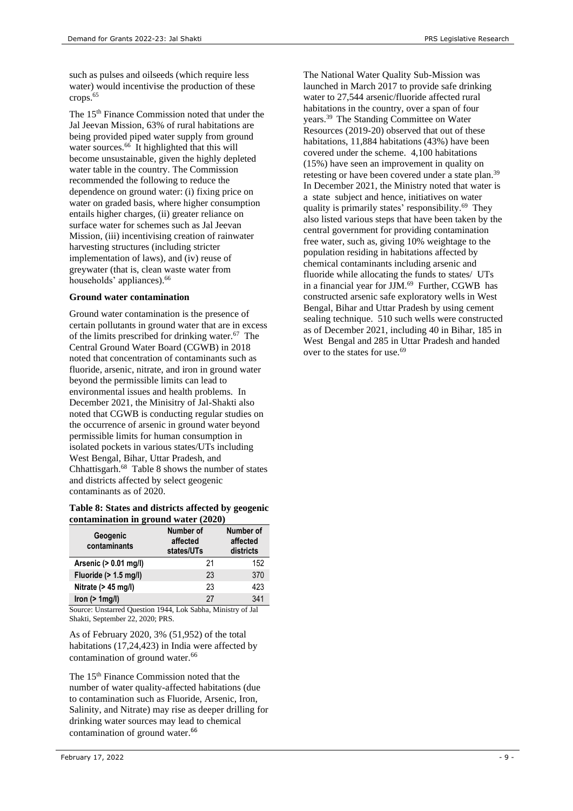such as pulses and oilseeds (which require less water) would incentivise the production of these crops. 65

<span id="page-8-0"></span>The 15<sup>th</sup> Finance Commission noted that under the Jal Jeevan Mission, 63% of rural habitations are being provided piped water supply from ground water sources.<sup>66</sup> It highlighted that this will become unsustainable, given the highly depleted water table in the country. The Commission recommended the following to reduce the dependence on ground water: (i) fixing price on water on graded basis, where higher consumption entails higher charges, (ii) greater reliance on surface water for schemes such as Jal Jeevan Mission, (iii) incentivising creation of rainwater harvesting structures (including stricter implementation of laws), and (iv) reuse of greywater (that is, clean waste water from households' appliances). [66](#page-8-0)

#### **Ground water contamination**

Ground water contamination is the presence of certain pollutants in ground water that are in excess of the limits prescribed for drinking water.<sup>67</sup> The Central Ground Water Board (CGWB) in 2018 noted that concentration of contaminants such as fluoride, arsenic, nitrate, and iron in ground water beyond the permissible limits can lead to environmental issues and health problems. In December 2021, the Minisitry of Jal-Shakti also noted that CGWB is conducting regular studies on the occurrence of arsenic in ground water beyond permissible limits for human consumption in isolated pockets in various states/UTs including West Bengal, Bihar, Uttar Pradesh, and Chhattisgarh. 68 Table 8 shows the number of states and districts affected by select geogenic contaminants as of 2020.

#### **Table 8: States and districts affected by geogenic contamination in ground water (2020)**

| Geogenic<br>contaminants | Number of<br>affected<br>states/UTs | Number of<br>affected<br>districts |
|--------------------------|-------------------------------------|------------------------------------|
| Arsenic (> 0.01 mg/l)    | 21                                  | 152                                |
| Fluoride $(> 1.5$ mg/l)  | 23                                  | 370                                |
| Nitrate $(> 45$ mg/l)    | 23                                  | 423                                |
| Iron $(> 1$ mg/l)        | 27                                  | 341                                |

Source: Unstarred Question 1944, Lok Sabha, Ministry of Jal Shakti, September 22, 2020; PRS.

As of February 2020, 3% (51,952) of the total habitations (17,24,423) in India were affected by contamination of ground water.<sup>[66](#page-8-0)</sup>

The 15<sup>th</sup> Finance Commission noted that the number of water quality-affected habitations (due to contamination such as Fluoride, Arsenic, Iron, Salinity, and Nitrate) may rise as deeper drilling for drinking water sources may lead to chemical contamination of ground water.<sup>[66](#page-8-0)</sup>

<span id="page-8-1"></span>The National Water Quality Sub-Mission was launched in March 2017 to provide safe drinking water to 27,544 arsenic/fluoride affected rural habitations in the country, over a span of four years.[39](#page-6-3) The Standing Committee on Water Resources (2019-20) observed that out of these habitations, 11,884 habitations (43%) have been covered under the scheme. 4,100 habitations (15%) have seen an improvement in quality on retesting or have been covered under a state plan.<sup>[39](#page-6-3)</sup> In December 2021, the Ministry noted that water is a state subject and hence, initiatives on water quality is primarily states' responsibility. <sup>69</sup> They also listed various steps that have been taken by the central government for providing contamination free water, such as, giving 10% weightage to the population residing in habitations affected by chemical contaminants including arsenic and fluoride while allocating the funds to states/ UTs in a financial year for JJM. [69](#page-8-1) Further, CGWB has constructed arsenic safe exploratory wells in West Bengal, Bihar and Uttar Pradesh by using cement sealing technique. 510 such wells were constructed as of December 2021, including 40 in Bihar, 185 in West Bengal and 285 in Uttar Pradesh and handed over to the states for use.<sup>[69](#page-8-1)</sup>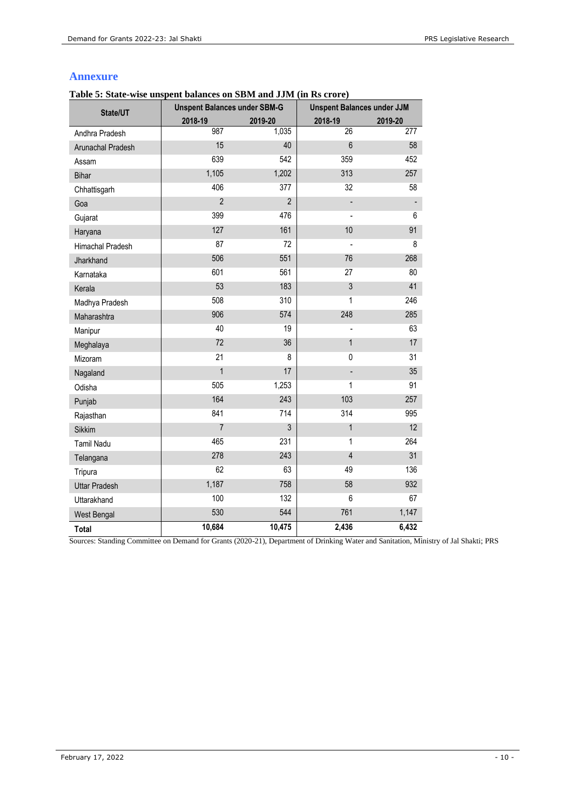## **Annexure**

<span id="page-9-0"></span>**Table 5: State-wise unspent balances on SBM and JJM (in Rs crore)**

| State/UT             | <b>Unspent Balances under SBM-G</b> |                | <b>Unspent Balances under JJM</b> |         |
|----------------------|-------------------------------------|----------------|-----------------------------------|---------|
|                      | 2018-19                             | 2019-20        | 2018-19                           | 2019-20 |
| Andhra Pradesh       | 987                                 | 1,035          | $\overline{26}$                   | 277     |
| Arunachal Pradesh    | 15                                  | 40             | $6\phantom{a}$                    | 58      |
| Assam                | 639                                 | 542            | 359                               | 452     |
| Bihar                | 1,105                               | 1,202          | 313                               | 257     |
| Chhattisgarh         | 406                                 | 377            | 32                                | 58      |
| Goa                  | $\overline{2}$                      | $\overline{2}$ |                                   |         |
| Gujarat              | 399                                 | 476            |                                   | 6       |
| Haryana              | 127                                 | 161            | 10                                | 91      |
| Himachal Pradesh     | 87                                  | 72             |                                   | 8       |
| Jharkhand            | 506                                 | 551            | 76                                | 268     |
| Karnataka            | 601                                 | 561            | 27                                | 80      |
| Kerala               | 53                                  | 183            | $\sqrt{3}$                        | 41      |
| Madhya Pradesh       | 508                                 | 310            | 1                                 | 246     |
| Maharashtra          | 906                                 | 574            | 248                               | 285     |
| Manipur              | 40                                  | 19             |                                   | 63      |
| Meghalaya            | 72                                  | 36             | $\mathbf{1}$                      | 17      |
| Mizoram              | 21                                  | 8              | 0                                 | 31      |
| Nagaland             | $\mathbf{1}$                        | 17             |                                   | 35      |
| Odisha               | 505                                 | 1,253          | 1                                 | 91      |
| Punjab               | 164                                 | 243            | 103                               | 257     |
| Rajasthan            | 841                                 | 714            | 314                               | 995     |
| Sikkim               | $\overline{7}$                      | 3              | 1                                 | 12      |
| <b>Tamil Nadu</b>    | 465                                 | 231            | 1                                 | 264     |
| Telangana            | 278                                 | 243            | $\overline{4}$                    | 31      |
| Tripura              | 62                                  | 63             | 49                                | 136     |
| <b>Uttar Pradesh</b> | 1,187                               | 758            | 58                                | 932     |
| Uttarakhand          | 100                                 | 132            | 6                                 | 67      |
| West Bengal          | 530                                 | 544            | 761                               | 1,147   |
| Total                | 10,684                              | 10,475         | 2,436                             | 6,432   |

Sources: Standing Committee on Demand for Grants (2020-21), Department of Drinking Water and Sanitation, Ministry of Jal Shakti; PRS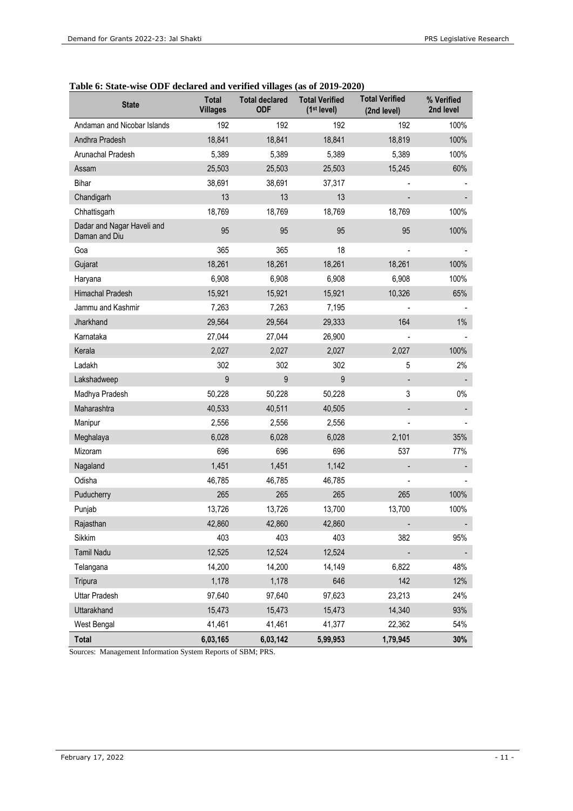## **Table 6: State-wise ODF declared and verified villages (as of 2019-2020)**

| <b>State</b>                                | Total<br><b>Villages</b> | <b>Total declared</b><br><b>ODF</b> | <b>Total Verified</b><br>(1 <sup>st</sup> level) | <b>Total Verified</b><br>(2nd level) | % Verified<br>2nd level |
|---------------------------------------------|--------------------------|-------------------------------------|--------------------------------------------------|--------------------------------------|-------------------------|
| Andaman and Nicobar Islands                 | 192                      | 192                                 | 192                                              | 192                                  | 100%                    |
| Andhra Pradesh                              | 18,841                   | 18,841                              | 18,841                                           | 18,819                               | 100%                    |
| Arunachal Pradesh                           | 5,389                    | 5,389                               | 5,389                                            | 5,389                                | 100%                    |
| Assam                                       | 25,503                   | 25,503                              | 25,503                                           | 15,245                               | 60%                     |
| Bihar                                       | 38,691                   | 38,691                              | 37,317                                           |                                      |                         |
| Chandigarh                                  | 13                       | 13                                  | 13                                               |                                      |                         |
| Chhattisgarh                                | 18,769                   | 18,769                              | 18,769                                           | 18,769                               | 100%                    |
| Dadar and Nagar Haveli and<br>Daman and Diu | 95                       | 95                                  | 95                                               | 95                                   | 100%                    |
| Goa                                         | 365                      | 365                                 | 18                                               |                                      |                         |
| Gujarat                                     | 18,261                   | 18,261                              | 18,261                                           | 18,261                               | 100%                    |
| Haryana                                     | 6,908                    | 6,908                               | 6,908                                            | 6,908                                | 100%                    |
| Himachal Pradesh                            | 15,921                   | 15,921                              | 15,921                                           | 10,326                               | 65%                     |
| Jammu and Kashmir                           | 7,263                    | 7,263                               | 7,195                                            |                                      |                         |
| Jharkhand                                   | 29,564                   | 29,564                              | 29,333                                           | 164                                  | $1\%$                   |
| Karnataka                                   | 27,044                   | 27,044                              | 26,900                                           |                                      |                         |
| Kerala                                      | 2,027                    | 2,027                               | 2,027                                            | 2,027                                | 100%                    |
| Ladakh                                      | 302                      | 302                                 | 302                                              | 5                                    | 2%                      |
| Lakshadweep                                 | 9                        | 9                                   | 9                                                |                                      |                         |
| Madhya Pradesh                              | 50,228                   | 50,228                              | 50,228                                           | 3                                    | $0\%$                   |
| Maharashtra                                 | 40,533                   | 40,511                              | 40,505                                           |                                      |                         |
| Manipur                                     | 2,556                    | 2,556                               | 2,556                                            |                                      |                         |
| Meghalaya                                   | 6,028                    | 6,028                               | 6,028                                            | 2,101                                | 35%                     |
| Mizoram                                     | 696                      | 696                                 | 696                                              | 537                                  | 77%                     |
| Nagaland                                    | 1,451                    | 1,451                               | 1,142                                            |                                      |                         |
| Odisha                                      | 46,785                   | 46,785                              | 46,785                                           |                                      |                         |
| Puducherry                                  | 265                      | 265                                 | 265                                              | 265                                  | 100%                    |
| Punjab                                      | 13,726                   | 13,726                              | 13,700                                           | 13,700                               | 100%                    |
| Rajasthan                                   | 42,860                   | 42,860                              | 42,860                                           |                                      |                         |
| Sikkim                                      | 403                      | 403                                 | 403                                              | 382                                  | 95%                     |
| <b>Tamil Nadu</b>                           | 12,525                   | 12,524                              | 12,524                                           |                                      |                         |
| Telangana                                   | 14,200                   | 14,200                              | 14,149                                           | 6,822                                | 48%                     |
| Tripura                                     | 1,178                    | 1,178                               | 646                                              | 142                                  | 12%                     |
| Uttar Pradesh                               | 97,640                   | 97,640                              | 97,623                                           | 23,213                               | 24%                     |
| Uttarakhand                                 | 15,473                   | 15,473                              | 15,473                                           | 14,340                               | 93%                     |
| West Bengal                                 | 41,461                   | 41,461                              | 41,377                                           | 22,362                               | 54%                     |
| Total                                       | 6,03,165                 | 6,03,142                            | 5,99,953                                         | 1,79,945                             | 30%                     |

Sources: Management Information System Reports of SBM; PRS.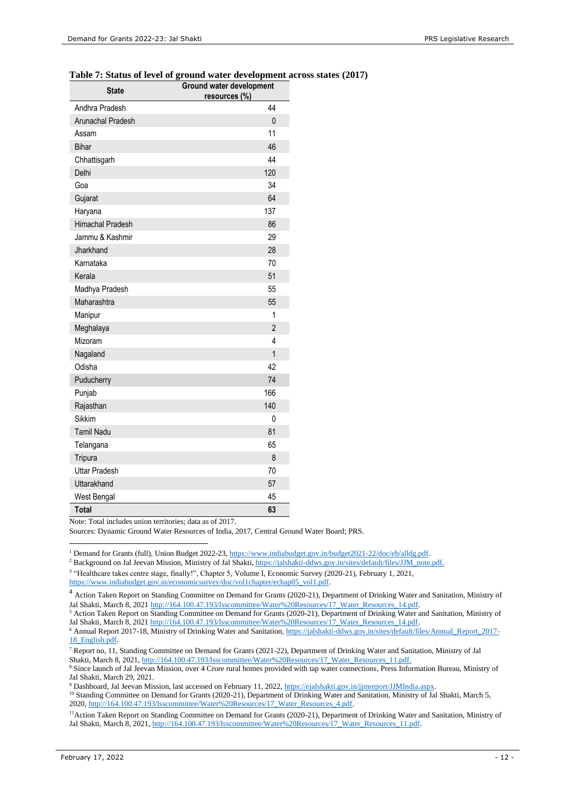#### **Table 7: Status of level of ground water development across states (2017)**

| <b>State</b>            | <b>Ground water development</b><br>resources (%) |
|-------------------------|--------------------------------------------------|
| Andhra Pradesh          | 44                                               |
| Arunachal Pradesh       | $\mathbf{0}$                                     |
| Assam                   | 11                                               |
| <b>Bihar</b>            | 46                                               |
| Chhattisgarh            | 44                                               |
| Delhi                   | 120                                              |
| Goa                     | 34                                               |
| Gujarat                 | 64                                               |
| Haryana                 | 137                                              |
| <b>Himachal Pradesh</b> | 86                                               |
| Jammu & Kashmir         | 29                                               |
| Jharkhand               | 28                                               |
| Karnataka               | 70                                               |
| Kerala                  | 51                                               |
| Madhya Pradesh          | 55                                               |
| Maharashtra             | 55                                               |
| Manipur                 | 1                                                |
| Meghalaya               | $\overline{2}$                                   |
| Mizoram                 | 4                                                |
| Nagaland                | $\overline{1}$                                   |
| Odisha                  | 42                                               |
| Puducherry              | 74                                               |
| Punjab                  | 166                                              |
| Rajasthan               | 140                                              |
| <b>Sikkim</b>           | 0                                                |
| <b>Tamil Nadu</b>       | 81                                               |
| Telangana               | 65                                               |
| Tripura                 | 8                                                |
| <b>Uttar Pradesh</b>    | 70                                               |
| Uttarakhand             | 57                                               |
| West Bengal             | 45                                               |
| Total                   | 63                                               |

Note: Total includes union territories; data as of 2017.

Sources: Dynamic Ground Water Resources of India, 2017, Central Ground Water Board; PRS.

<sup>1</sup> Demand for Grants (full), Union Budget 2022-23, [https://www.indiabudget.gov.in/budget2021-22/doc/eb/alldg.pdf.](https://www.indiabudget.gov.in/budget2021-22/doc/eb/alldg.pdf)

<sup>2</sup> Background on Jal Jeevan Mission, Ministry of Jal Shakti[, https://jalshakti-ddws.gov.in/sites/default/files/JJM\\_note.pdf.](https://jalshakti-ddws.gov.in/sites/default/files/JJM_note.pdf)

<sup>3</sup> "Healthcare takes centre stage, finally!", Chapter 5, Volume I, Economic Survey (2020-21), February 1, 2021, [https://www.indiabudget.gov.in/economicsurvey/doc/vol1chapter/echap05\\_vol1.pdf.](https://www.indiabudget.gov.in/economicsurvey/doc/vol1chapter/echap05_vol1.pdf) 

<sup>9</sup> Dashboard, Jal Jeevan Mission, last accessed on February 11, 2022[, https://ejalshakti.gov.in/jjmreport/JJMIndia.aspx.](https://ejalshakti.gov.in/jjmreport/JJMIndia.aspx) 

<sup>&</sup>lt;sup>4</sup> Action Taken Report on Standing Committee on Demand for Grants (2020-21), Department of Drinking Water and Sanitation, Ministry of Jal Shakti, March 8, 2021 [http://164.100.47.193/lsscommittee/Water%20Resources/17\\_Water\\_Resources\\_14.pdf.](http://164.100.47.193/lsscommittee/Water%20Resources/17_Water_Resources_14.pdf)

<sup>5</sup> Action Taken Report on Standing Committee on Demand for Grants (2020-21), Department of Drinking Water and Sanitation, Ministry of Jal Shakti, March 8, 2021 http://164.100.47.193/lsscommittee/Water%20Resources/17\_Water\_Resources\_14.pdf.

<sup>&</sup>lt;sup>6</sup> Annual Report 2017-18, Ministry of Drinking Water and Sanitation[, https://jalshakti-ddws.gov.in/sites/default/files/Annual\\_Report\\_2017-](https://jalshakti-ddws.gov.in/sites/default/files/Annual_Report_2017-18_English.pdf) [18\\_English.pdf.](https://jalshakti-ddws.gov.in/sites/default/files/Annual_Report_2017-18_English.pdf)

<sup>7</sup> Report no, 11, Standing Committee on Demand for Grants (2021-22), Department of Drinking Water and Sanitation, Ministry of Jal Shakti, March 8, 2021, http://164.100.47.193/lsscommittee/Water%20Resources/17\_Water\_Resources\_11.pdf.

<sup>8</sup> Since launch of Jal Jeevan Mission, over 4 Crore rural homes provided with tap water connections, Press Information Bureau, Ministry of Jal Shakti, March 29, 2021.

<sup>&</sup>lt;sup>10</sup> Standing Committee on Demand for Grants (2020-21), Department of Drinking Water and Sanitation, Ministry of Jal Shakti, March 5, 2020[, http://164.100.47.193/lsscommittee/Water%20Resources/17\\_Water\\_Resources\\_4.pdf.](http://164.100.47.193/lsscommittee/Water%20Resources/17_Water_Resources_4.pdf)

<sup>&</sup>lt;sup>11</sup> Action Taken Report on Standing Committee on Demand for Grants (2020-21), Department of Drinking Water and Sanitation, Ministry of Jal Shakti, March 8, 2021, [http://164.100.47.193/lsscommittee/Water%20Resources/17\\_Water\\_Resources\\_11.pdf.](http://164.100.47.193/lsscommittee/Water%20Resources/17_Water_Resources_11.pdf)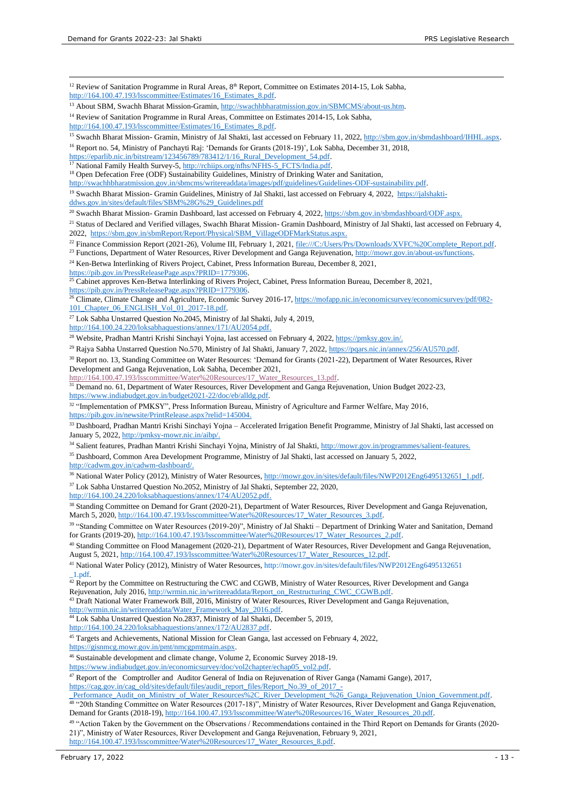<sup>12</sup> Review of Sanitation Programme in Rural Areas, 8<sup>th</sup> Report, Committee on Estimates 2014-15, Lok Sabha, [http://164.100.47.193/lsscommittee/Estimates/16\\_Estimates\\_8.pdf.](http://164.100.47.193/lsscommittee/Estimates/16_Estimates_8.pdf) <sup>13</sup> About SBM, Swachh Bharat Mission-Gramin, [http://swachhbharatmission.gov.in/SBMCMS/about-us.htm.](http://swachhbharatmission.gov.in/SBMCMS/about-us.htm) <sup>14</sup> Review of Sanitation Programme in Rural Areas, Committee on Estimates 2014-15, Lok Sabha, [http://164.100.47.193/lsscommittee/Estimates/16\\_Estimates\\_8.pdf.](http://164.100.47.193/lsscommittee/Estimates/16_Estimates_8.pdf) <sup>15</sup> Swachh Bharat Mission- Gramin, Ministry of Jal Shakti, last accessed on February 11, 2022[, http://sbm.gov.in/sbmdashboard/IHHL.aspx.](http://sbm.gov.in/sbmdashboard/IHHL.aspx) <sup>16</sup> Report no. 54, Ministry of Panchayti Raj: 'Demands for Grants (2018-19)', Lok Sabha, December 31, 2018, https://eparlib.nic.in/bitstream/123456789/783412/1/16\_Rural\_Development\_54.pdf. <sup>17</sup> National Family Health Survey-5[, http://rchiips.org/nfhs/NFHS-5\\_FCTS/India.pdf.](http://rchiips.org/nfhs/NFHS-5_FCTS/India.pdf) <sup>18</sup> Open Defecation Free (ODF) Sustainability Guidelines, Ministry of Drinking Water and Sanitation, [http://swachhbharatmission.gov.in/sbmcms/writereaddata/images/pdf/guidelines/Guidelines-ODF-sustainability.pdf.](http://swachhbharatmission.gov.in/sbmcms/writereaddata/images/pdf/guidelines/Guidelines-ODF-sustainability.pdf) <sup>19</sup> Swachh Bharat Mission- Gramin Guidelines, Ministry of Jal Shakti, last accessed on February 4, 2022, [https://jalshakti](https://jalshakti-ddws.gov.in/sites/default/files/SBM%28G%29_Guidelines.pdf)[ddws.gov.in/sites/default/files/SBM%28G%29\\_Guidelines.pdf](https://jalshakti-ddws.gov.in/sites/default/files/SBM%28G%29_Guidelines.pdf) <sup>20</sup> Swachh Bharat Mission- Gramin Dashboard, last accessed on February 4, 2022[, https://sbm.gov.in/sbmdashboard/ODF.aspx.](https://sbm.gov.in/sbmdashboard/ODF.aspx) <sup>21</sup> Status of Declared and Verified villages, Swachh Bharat Mission- Gramin Dashboard, Ministry of Jal Shakti, last accessed on February 4, 2022, [https://sbm.gov.in/sbmReport/Report/Physical/SBM\\_VillageODFMarkStatus.aspx.](https://sbm.gov.in/sbmReport/Report/Physical/SBM_VillageODFMarkStatus.aspx) <sup>22</sup> Finance Commission Report (2021-26), Volume III, February 1, 2021[, file:///C:/Users/Prs/Downloads/XVFC%20Complete\\_Report.pdf.](file:///C:/Users/Prs/Downloads/XVFC%20Complete_Report.pdf) <sup>23</sup> Functions, Department of Water Resources, River Development and Ganga Rejuvenation[, http://mowr.gov.in/about-us/functions.](http://mowr.gov.in/about-us/functions) <sup>24</sup> Ken-Betwa Interlinking of Rivers Project, Cabinet, Press Information Bureau, December 8, 2021, [https://pib.gov.in/PressReleasePage.aspx?PRID=1779306.](https://pib.gov.in/PressReleasePage.aspx?PRID=1779306) <sup>25</sup> Cabinet approves Ken-Betwa Interlinking of Rivers Project, Cabinet, Press Information Bureau, December 8, 2021, [https://pib.gov.in/PressReleasePage.aspx?PRID=1779306.](https://pib.gov.in/PressReleasePage.aspx?PRID=1779306) <sup>26</sup> Climate, Climate Change and Agriculture, Economic Survey 2016-17[, https://mofapp.nic.in/economicsurvey/economicsurvey/pdf/082-](https://mofapp.nic.in/economicsurvey/economicsurvey/pdf/082-101_Chapter_06_ENGLISH_Vol_01_2017-18.pdf) [101\\_Chapter\\_06\\_ENGLISH\\_Vol\\_01\\_2017-18.pdf.](https://mofapp.nic.in/economicsurvey/economicsurvey/pdf/082-101_Chapter_06_ENGLISH_Vol_01_2017-18.pdf) <sup>27</sup> Lok Sabha Unstarred Question No.2045, Ministry of Jal Shakti, July 4, 2019, [http://164.100.24.220/loksabhaquestions/annex/171/AU2054.pdf.](http://164.100.24.220/loksabhaquestions/annex/171/AU2054.pdf) <sup>28</sup> Website, Pradhan Mantri Krishi Sinchavi Yojna, last accessed on February 4, 2022, https://pmksy.gov.jn/. <sup>29</sup> Rajya Sabha Unstarred Question No.570, Ministry of Jal Shakti, January 7, 2022, https://pqars.nic.in/annex/256/AU570.pdf. <sup>30</sup> Report no. 13, Standing Committee on Water Resources: 'Demand for Grants (2021-22), Department of Water Resources, River Development and Ganga Rejuvenation, Lok Sabha, December 2021, [http://164.100.47.193/lsscommittee/Water%20Resources/17\\_Water\\_Resources\\_13.pdf.](http://164.100.47.193/lsscommittee/Water%20Resources/17_Water_Resources_13.pdf) <sup>31</sup> Demand no. 61, Department of Water Resources, River Development and Ganga Rejuvenation, Union Budget 2022-23, [https://www.indiabudget.gov.in/budget2021-22/doc/eb/alldg.pdf.](https://www.indiabudget.gov.in/budget2021-22/doc/eb/alldg.pdf)  <sup>32</sup> "Implementation of PMKSY", Press Information Bureau, Ministry of Agriculture and Farmer Welfare, May 2016, [https://pib.gov.in/newsite/PrintRelease.aspx?relid=145004.](https://pib.gov.in/newsite/PrintRelease.aspx?relid=145004) <sup>33</sup> Dashboard, Pradhan Mantri Krishi Sinchayi Yojna – Accelerated Irrigation Benefit Programme, Ministry of Jal Shakti, last accessed on January 5, 2022, [http://pmksy-mowr.nic.in/aibp/.](http://pmksy-mowr.nic.in/aibp/) <sup>34</sup> Salient features, Pradhan Mantri Krishi Sinchayi Yojna, Ministry of Jal Shakti[, http://mowr.gov.in/programmes/salient-features.](http://mowr.gov.in/programmes/salient-features) <sup>35</sup> Dashboard, Common Area Development Programme, Ministry of Jal Shakti, last accessed on January 5, 2022, [http://cadwm.gov.in/cadwm-dashboard/.](http://cadwm.gov.in/cadwm-dashboard/) <sup>36</sup> National Water Policy (2012), Ministry of Water Resources, [http://mowr.gov.in/sites/default/files/NWP2012Eng6495132651\\_1.pdf.](http://mowr.gov.in/sites/default/files/NWP2012Eng6495132651_1.pdf) <sup>37</sup> Lok Sabha Unstarred Question No.2052, Ministry of Jal Shakti, September 22, 2020, [http://164.100.24.220/loksabhaquestions/annex/174/AU2052.pdf.](http://164.100.24.220/loksabhaquestions/annex/174/AU2052.pdf) <sup>38</sup> Standing Committee on Demand for Grant (2020-21), Department of Water Resources, River Development and Ganga Rejuvenation, March 5, 2020, [http://164.100.47.193/lsscommittee/Water%20Resources/17\\_Water\\_Resources\\_3.pdf.](http://164.100.47.193/lsscommittee/Water%20Resources/17_Water_Resources_3.pdf) <sup>39</sup> "Standing Committee on Water Resources (2019-20)", Ministry of Jal Shakti – Department of Drinking Water and Sanitation, Demand for Grants (2019-20)[, http://164.100.47.193/lsscommittee/Water%20Resources/17\\_Water\\_Resources\\_2.pdf.](http://164.100.47.193/lsscommittee/Water%20Resources/17_Water_Resources_2.pdf) <sup>40</sup> Standing Committee on Flood Management (2020-21), Department of Water Resources, River Development and Ganga Rejuvenation, August 5, 2021, http://164.100.47.193/lsscommittee/Water%20Resources/17\_Water\_Resources\_12.pdf. <sup>41</sup> National Water Policy (2012), Ministry of Water Resources, http://mowr.gov.in/sites/default/files/NWP2012Eng6495132651 \_1.pdf.  $\frac{1}{42}$  Report by the Committee on Restructuring the CWC and CGWB, Ministry of Water Resources, River Development and Ganga Rejuvenation, July 2016[, http://wrmin.nic.in/writereaddata/Report\\_on\\_Restructuring\\_CWC\\_CGWB.pdf.](http://wrmin.nic.in/writereaddata/Report_on_Restructuring_CWC_CGWB.pdf) <sup>43</sup> Draft National Water Framework Bill, 2016, Ministry of Water Resources, River Development and Ganga Rejuvenation, [http://wrmin.nic.in/writereaddata/Water\\_Framework\\_May\\_2016.pdf.](http://wrmin.nic.in/writereaddata/Water_Framework_May_2016.pdf)  <sup>44</sup> Lok Sabha Unstarred Question No.2837, Ministry of Jal Shakti, December 5, 2019, [http://164.100.24.220/loksabhaquestions/annex/172/AU2837.pdf.](http://164.100.24.220/loksabhaquestions/annex/172/AU2837.pdf) <sup>45</sup> Targets and Achievements, National Mission for Clean Ganga, last accessed on February 4, 2022, [https://gisnmcg.mowr.gov.in/pmt/nmcgpmtmain.aspx.](https://gisnmcg.mowr.gov.in/pmt/nmcgpmtmain.aspx) <sup>46</sup> Sustainable development and climate change, Volume 2, Economic Survey 2018-19. [https://www.indiabudget.gov.in/economicsurvey/doc/vol2chapter/echap05\\_vol2.pdf.](https://www.indiabudget.gov.in/economicsurvey/doc/vol2chapter/echap05_vol2.pdf)  <sup>47</sup> Report of the Comptroller and Auditor General of India on Rejuvenation of River Ganga (Namami Gange), 2017, [https://cag.gov.in/cag\\_old/sites/default/files/audit\\_report\\_files/Report\\_No.39\\_of\\_2017\\_-](https://cag.gov.in/cag_old/sites/default/files/audit_report_files/Report_No.39_of_2017_-_Performance_Audit_on_Ministry_of_Water_Resources%2C_River_Development_%26_Ganga_Rejuvenation_Union_Government.pdf) [\\_Performance\\_Audit\\_on\\_Ministry\\_of\\_Water\\_Resources%2C\\_River\\_Development\\_%26\\_Ganga\\_Rejuvenation\\_Union\\_Government.pdf.](https://cag.gov.in/cag_old/sites/default/files/audit_report_files/Report_No.39_of_2017_-_Performance_Audit_on_Ministry_of_Water_Resources%2C_River_Development_%26_Ganga_Rejuvenation_Union_Government.pdf)  <sup>48</sup> "20th Standing Committee on Water Resources (2017-18)", Ministry of Water Resources, River Development and Ganga Rejuvenation, Demand for Grants (2018-19), [http://164.100.47.193/lsscommittee/Water%20Resources/16\\_Water\\_Resources\\_20.pdf.](http://164.100.47.193/lsscommittee/Water%20Resources/16_Water_Resources_20.pdf)

<sup>49</sup> "Action Taken by the Government on the Observations / Recommendations contained in the Third Report on Demands for Grants (2020- 21)", Ministry of Water Resources, River Development and Ganga Rejuvenation, February 9, 2021, [http://164.100.47.193/lsscommittee/Water%20Resources/17\\_Water\\_Resources\\_8.pdf.](http://164.100.47.193/lsscommittee/Water%20Resources/17_Water_Resources_8.pdf)

February 17, 2022 - 13 -